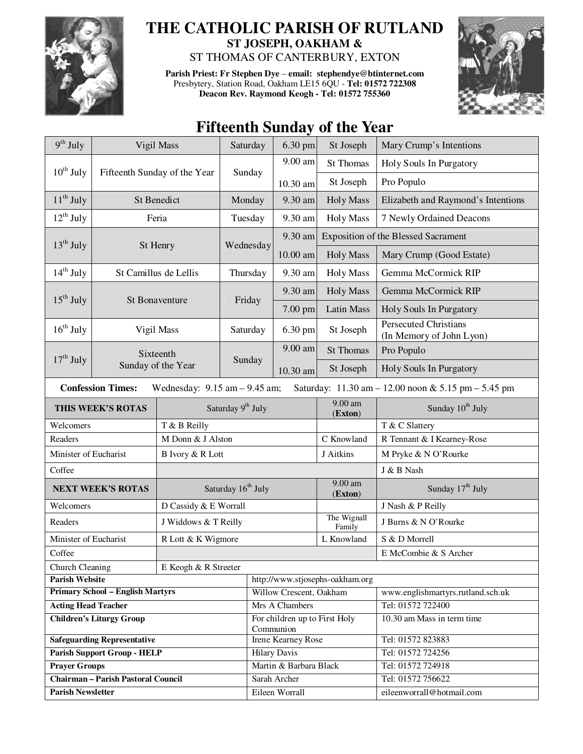

## **THE CATHOLIC PARISH OF RUTLAND ST JOSEPH, OAKHAM &**

ST THOMAS OF CANTERBURY, EXTON

**Parish Priest: Fr Stephen Dye** – **email: stephendye@btinternet.com** Presbytery, Station Road, Oakham LE15 6QU - **Tel: 01572 722308 Deacon Rev. Raymond Keogh - Tel: 01572 755360** 



## **Fifteenth Sunday of the Year**

| $9th$ July                                                                                                           | Vigil Mass                      |                                | Saturday                      | 6.30 pm                                    | St Joseph             | Mary Crump's Intentions                                  |  |  |
|----------------------------------------------------------------------------------------------------------------------|---------------------------------|--------------------------------|-------------------------------|--------------------------------------------|-----------------------|----------------------------------------------------------|--|--|
|                                                                                                                      |                                 |                                | Sunday                        | 9.00 am                                    | <b>St Thomas</b>      | Holy Souls In Purgatory                                  |  |  |
| $10^{th}$ July<br>Fifteenth Sunday of the Year                                                                       |                                 |                                |                               | 10.30 am                                   | St Joseph             | Pro Populo                                               |  |  |
| $11th$ July                                                                                                          | St Benedict                     |                                | Monday                        | 9.30 am                                    | <b>Holy Mass</b>      | Elizabeth and Raymond's Intentions                       |  |  |
| $12^{th}$ July                                                                                                       | Feria                           |                                | Tuesday                       | 9.30 am                                    | <b>Holy Mass</b>      | 7 Newly Ordained Deacons                                 |  |  |
|                                                                                                                      |                                 |                                |                               | 9.30 am                                    |                       | Exposition of the Blessed Sacrament                      |  |  |
| $13th$ July                                                                                                          |                                 | St Henry                       | Wednesday                     | 10.00 am                                   | <b>Holy Mass</b>      | Mary Crump (Good Estate)                                 |  |  |
| $14th$ July                                                                                                          | St Camillus de Lellis           |                                | Thursday                      | 9.30 am                                    | <b>Holy Mass</b>      | Gemma McCormick RIP                                      |  |  |
|                                                                                                                      |                                 |                                |                               | 9.30 am                                    | <b>Holy Mass</b>      | Gemma McCormick RIP                                      |  |  |
| $15th$ July                                                                                                          |                                 | <b>St Bonaventure</b>          | Friday                        | 7.00 pm                                    | <b>Latin Mass</b>     | Holy Souls In Purgatory                                  |  |  |
| $16th$ July                                                                                                          | Vigil Mass                      |                                | Saturday                      | 6.30 pm                                    | St Joseph             | <b>Persecuted Christians</b><br>(In Memory of John Lyon) |  |  |
| $17th$ July                                                                                                          | Sixteenth<br>Sunday of the Year |                                |                               | 9.00 am                                    | <b>St Thomas</b>      | Pro Populo                                               |  |  |
|                                                                                                                      |                                 |                                | Sunday                        | 10.30 am                                   | St Joseph             | Holy Souls In Purgatory                                  |  |  |
| <b>Confession Times:</b><br>Wednesday: $9.15$ am $- 9.45$ am;<br>Saturday: 11.30 am - 12.00 noon & 5.15 pm - 5.45 pm |                                 |                                |                               |                                            |                       |                                                          |  |  |
|                                                                                                                      | THIS WEEK'S ROTAS               |                                | Saturday 9 <sup>th</sup> July |                                            | 9.00 am<br>(Exton)    | Sunday 10 <sup>th</sup> July                             |  |  |
| Welcomers                                                                                                            |                                 | T & B Reilly                   |                               |                                            |                       | T & C Slattery                                           |  |  |
| Readers                                                                                                              |                                 | M Donn & J Alston              |                               |                                            | C Knowland            | R Tennant & I Kearney-Rose                               |  |  |
| Minister of Eucharist                                                                                                |                                 | B Ivory & R Lott               |                               |                                            | J Aitkins             | M Pryke & N O'Rourke                                     |  |  |
| Coffee                                                                                                               |                                 |                                |                               |                                            |                       | J & B Nash                                               |  |  |
| <b>NEXT WEEK'S ROTAS</b>                                                                                             |                                 | Saturday 16 <sup>th</sup> July |                               |                                            | 9.00 am<br>(Exton)    | Sunday 17 <sup>th</sup> July                             |  |  |
| Welcomers                                                                                                            |                                 | D Cassidy & E Worrall          |                               |                                            |                       | J Nash & P Reilly                                        |  |  |
| Readers                                                                                                              |                                 | J Widdows & T Reilly           |                               |                                            | The Wignall<br>Family | J Burns & N O'Rourke                                     |  |  |
| Minister of Eucharist                                                                                                |                                 | R Lott & K Wigmore             |                               |                                            | L Knowland            | S & D Morrell                                            |  |  |
| Coffee                                                                                                               |                                 |                                |                               |                                            | E McCombie & S Archer |                                                          |  |  |
| E Keogh & R Streeter<br>Church Cleaning                                                                              |                                 |                                |                               |                                            |                       |                                                          |  |  |
| <b>Parish Website</b>                                                                                                |                                 |                                |                               | http://www.stjosephs-oakham.org            |                       |                                                          |  |  |
| <b>Primary School - English Martyrs</b>                                                                              |                                 |                                |                               | Willow Crescent, Oakham                    |                       | www.englishmartyrs.rutland.sch.uk                        |  |  |
| <b>Acting Head Teacher</b>                                                                                           |                                 |                                |                               | Mrs A Chambers                             |                       | Tel: 01572 722400                                        |  |  |
| <b>Children's Liturgy Group</b>                                                                                      |                                 |                                |                               | For children up to First Holy<br>Communion |                       | 10.30 am Mass in term time                               |  |  |
| <b>Safeguarding Representative</b>                                                                                   |                                 |                                |                               | Irene Kearney Rose                         |                       | Tel: 01572 823883                                        |  |  |
| <b>Parish Support Group - HELP</b>                                                                                   |                                 |                                |                               | <b>Hilary Davis</b>                        |                       | Tel: 01572 724256                                        |  |  |
| <b>Prayer Groups</b>                                                                                                 |                                 |                                |                               | Martin & Barbara Black                     |                       | Tel: 01572 724918                                        |  |  |
| <b>Chairman - Parish Pastoral Council</b>                                                                            |                                 |                                |                               | Sarah Archer                               |                       | Tel: 01572 756622                                        |  |  |
| <b>Parish Newsletter</b>                                                                                             |                                 |                                |                               | Eileen Worrall                             |                       | eileenworrall@hotmail.com                                |  |  |